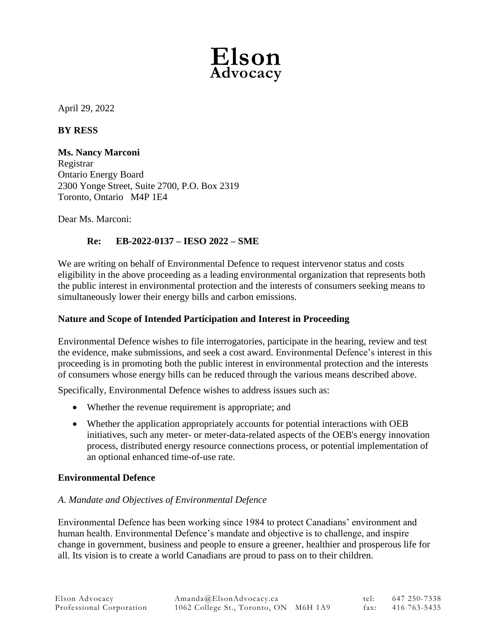

April 29, 2022

### **BY RESS**

**Ms. Nancy Marconi** Registrar Ontario Energy Board 2300 Yonge Street, Suite 2700, P.O. Box 2319 Toronto, Ontario M4P 1E4

Dear Ms. Marconi:

# **Re: EB-2022-0137 – IESO 2022 – SME**

We are writing on behalf of Environmental Defence to request intervenor status and costs eligibility in the above proceeding as a leading environmental organization that represents both the public interest in environmental protection and the interests of consumers seeking means to simultaneously lower their energy bills and carbon emissions.

### **Nature and Scope of Intended Participation and Interest in Proceeding**

Environmental Defence wishes to file interrogatories, participate in the hearing, review and test the evidence, make submissions, and seek a cost award. Environmental Defence's interest in this proceeding is in promoting both the public interest in environmental protection and the interests of consumers whose energy bills can be reduced through the various means described above.

Specifically, Environmental Defence wishes to address issues such as:

- Whether the revenue requirement is appropriate; and
- Whether the application appropriately accounts for potential interactions with OEB initiatives, such any meter- or meter-data-related aspects of the OEB's energy innovation process, distributed energy resource connections process, or potential implementation of an optional enhanced time-of-use rate.

### **Environmental Defence**

### *A. Mandate and Objectives of Environmental Defence*

Environmental Defence has been working since 1984 to protect Canadians' environment and human health. Environmental Defence's mandate and objective is to challenge, and inspire change in government, business and people to ensure a greener, healthier and prosperous life for all. Its vision is to create a world Canadians are proud to pass on to their children.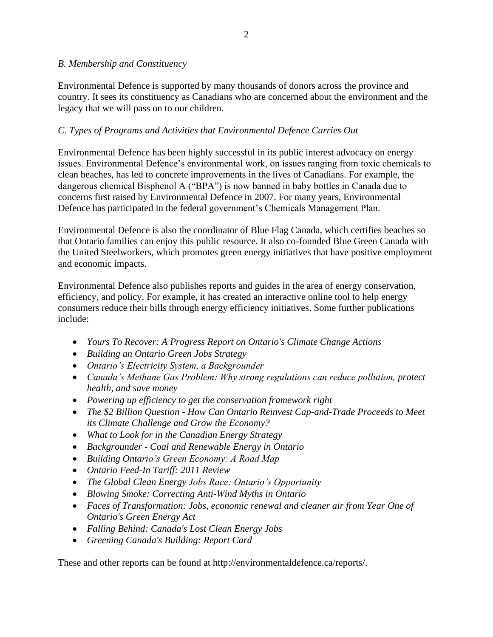### *B. Membership and Constituency*

Environmental Defence is supported by many thousands of donors across the province and country. It sees its constituency as Canadians who are concerned about the environment and the legacy that we will pass on to our children.

## *C. Types of Programs and Activities that Environmental Defence Carries Out*

Environmental Defence has been highly successful in its public interest advocacy on energy issues. Environmental Defence's environmental work, on issues ranging from toxic chemicals to clean beaches, has led to concrete improvements in the lives of Canadians. For example, the dangerous chemical Bisphenol A ("BPA") is now banned in baby bottles in Canada due to concerns first raised by Environmental Defence in 2007. For many years, Environmental Defence has participated in the federal government's Chemicals Management Plan.

Environmental Defence is also the coordinator of Blue Flag Canada, which certifies beaches so that Ontario families can enjoy this public resource. It also co-founded Blue Green Canada with the United Steelworkers, which promotes green energy initiatives that have positive employment and economic impacts.

Environmental Defence also publishes reports and guides in the area of energy conservation, efficiency, and policy. For example, it has created an interactive online tool to help energy consumers reduce their bills through energy efficiency initiatives. Some further publications include:

- *Yours To Recover: A Progress Report on Ontario's Climate Change Actions*
- *Building an Ontario Green Jobs Strategy*
- *Ontario's Electricity System, a Backgrounder*
- *Canada's Methane Gas Problem: Why strong regulations can reduce pollution, protect health, and save money*
- *Powering up efficiency to get the conservation framework right*
- *The \$2 Billion Question - How Can Ontario Reinvest Cap-and-Trade Proceeds to Meet its Climate Challenge and Grow the Economy?*
- *What to Look for in the Canadian Energy Strategy*
- *Backgrounder - Coal and Renewable Energy in Ontario*
- *Building Ontario's Green Economy: A Road Map*
- *Ontario Feed-In Tariff: 2011 Review*
- *The Global Clean Energy Jobs Race: Ontario's Opportunity*
- *Blowing Smoke: Correcting Anti-Wind Myths in Ontario*
- *Faces of Transformation: Jobs, economic renewal and cleaner air from Year One of Ontario's Green Energy Act*
- *Falling Behind: Canada's Lost Clean Energy Jobs*
- *Greening Canada's Building: Report Card*

These and other reports can be found at http://environmentaldefence.ca/reports/.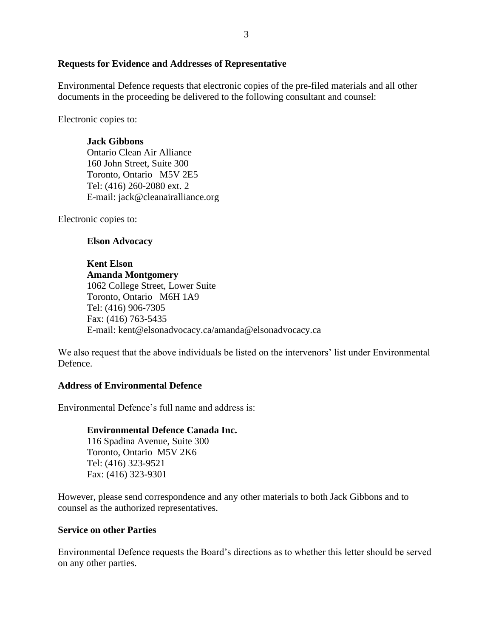#### **Requests for Evidence and Addresses of Representative**

Environmental Defence requests that electronic copies of the pre-filed materials and all other documents in the proceeding be delivered to the following consultant and counsel:

Electronic copies to:

#### **Jack Gibbons**

Ontario Clean Air Alliance 160 John Street, Suite 300 Toronto, Ontario M5V 2E5 Tel: (416) 260-2080 ext. 2 E-mail: jack@cleanairalliance.org

Electronic copies to:

#### **Elson Advocacy**

# **Kent Elson**

**Amanda Montgomery** 1062 College Street, Lower Suite Toronto, Ontario M6H 1A9 Tel: (416) 906-7305 Fax: (416) 763-5435 E-mail: kent@elsonadvocacy.ca/amanda@elsonadvocacy.ca

We also request that the above individuals be listed on the intervenors' list under Environmental Defence.

#### **Address of Environmental Defence**

Environmental Defence's full name and address is:

#### **Environmental Defence Canada Inc.**

116 Spadina Avenue, Suite 300 Toronto, Ontario M5V 2K6 Tel: (416) 323-9521 Fax: (416) 323-9301

However, please send correspondence and any other materials to both Jack Gibbons and to counsel as the authorized representatives.

#### **Service on other Parties**

Environmental Defence requests the Board's directions as to whether this letter should be served on any other parties.